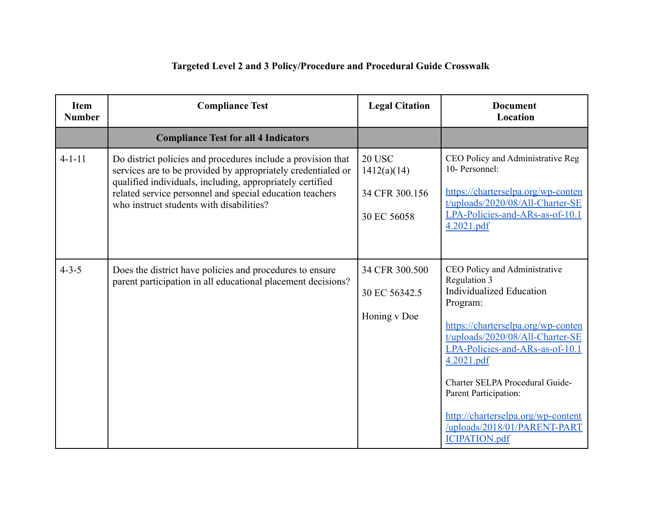| <b>Item</b><br><b>Number</b> | <b>Compliance Test</b>                                                                                                                                                                                                                                                                            | <b>Legal Citation</b>                                         | <b>Document</b><br>Location                                                                                                                                                                                                                                                                                                                                                       |
|------------------------------|---------------------------------------------------------------------------------------------------------------------------------------------------------------------------------------------------------------------------------------------------------------------------------------------------|---------------------------------------------------------------|-----------------------------------------------------------------------------------------------------------------------------------------------------------------------------------------------------------------------------------------------------------------------------------------------------------------------------------------------------------------------------------|
|                              | <b>Compliance Test for all 4 Indicators</b>                                                                                                                                                                                                                                                       |                                                               |                                                                                                                                                                                                                                                                                                                                                                                   |
| $4 - 1 - 11$                 | Do district policies and procedures include a provision that<br>services are to be provided by appropriately credentialed or<br>qualified individuals, including, appropriately certified<br>related service personnel and special education teachers<br>who instruct students with disabilities? | <b>20 USC</b><br>1412(a)(14)<br>34 CFR 300.156<br>30 EC 56058 | CEO Policy and Administrative Reg<br>10- Personnel:<br>https://charterselpa.org/wp-conten<br>t/uploads/2020/08/All-Charter-SE<br>LPA-Policies-and-ARs-as-of-10.1<br>4.2021.pdf                                                                                                                                                                                                    |
| $4 - 3 - 5$                  | Does the district have policies and procedures to ensure<br>parent participation in all educational placement decisions?                                                                                                                                                                          | 34 CFR 300.500<br>30 EC 56342.5<br>Honing v Doe               | CEO Policy and Administrative<br>Regulation 3<br><b>Individualized Education</b><br>Program:<br>https://charterselpa.org/wp-conten<br>t/uploads/2020/08/All-Charter-SE<br>LPA-Policies-and-ARs-as-of-10.1<br>4.2021.pdf<br>Charter SELPA Procedural Guide-<br>Parent Participation:<br>http://charterselpa.org/wp-content<br>/uploads/2018/01/PARENT-PART<br><b>ICIPATION.pdf</b> |

## **Targeted Level 2 and 3 Policy/Procedure and Procedural Guide Crosswalk**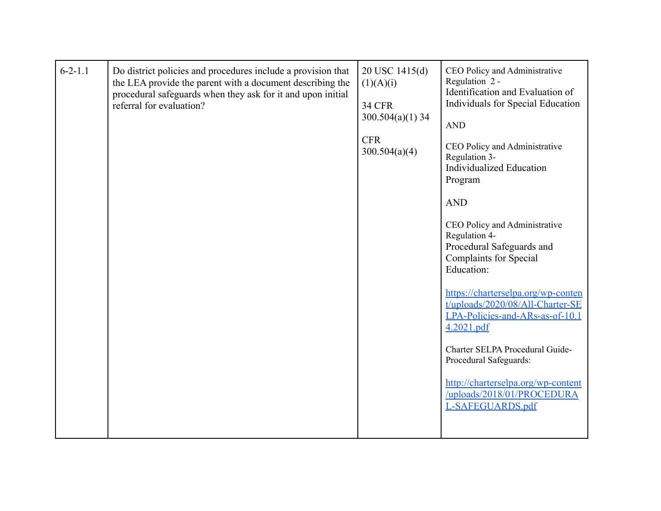| $6 - 2 - 1.1$<br>Do district policies and procedures include a provision that<br>the LEA provide the parent with a document describing the<br>procedural safeguards when they ask for it and upon initial<br>referral for evaluation? | 20 USC 1415(d)<br>(1)(A)(i)<br><b>34 CFR</b><br>$300.504(a)(1)$ 34<br><b>CFR</b><br>300.504(a)(4) | CEO Policy and Administrative<br>Regulation 2 -<br>Identification and Evaluation of<br>Individuals for Special Education<br><b>AND</b><br>CEO Policy and Administrative<br>Regulation 3-<br><b>Individualized Education</b><br>Program<br><b>AND</b><br>CEO Policy and Administrative<br>Regulation 4-<br>Procedural Safeguards and<br><b>Complaints for Special</b><br>Education:<br>https://charterselpa.org/wp-conten<br>t/uploads/2020/08/All-Charter-SE<br>LPA-Policies-and-ARs-as-of-10.1<br>4.2021.pdf<br>Charter SELPA Procedural Guide-<br>Procedural Safeguards:<br>http://charterselpa.org/wp-content<br>/uploads/2018/01/PROCEDURA<br>L-SAFEGUARDS.pdf |
|---------------------------------------------------------------------------------------------------------------------------------------------------------------------------------------------------------------------------------------|---------------------------------------------------------------------------------------------------|--------------------------------------------------------------------------------------------------------------------------------------------------------------------------------------------------------------------------------------------------------------------------------------------------------------------------------------------------------------------------------------------------------------------------------------------------------------------------------------------------------------------------------------------------------------------------------------------------------------------------------------------------------------------|
|---------------------------------------------------------------------------------------------------------------------------------------------------------------------------------------------------------------------------------------|---------------------------------------------------------------------------------------------------|--------------------------------------------------------------------------------------------------------------------------------------------------------------------------------------------------------------------------------------------------------------------------------------------------------------------------------------------------------------------------------------------------------------------------------------------------------------------------------------------------------------------------------------------------------------------------------------------------------------------------------------------------------------------|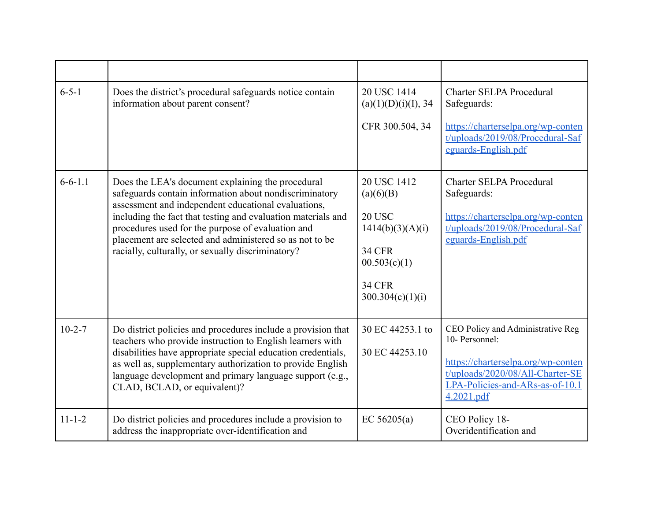| $6 - 5 - 1$   | Does the district's procedural safeguards notice contain<br>information about parent consent?                                                                                                                                                                                                                                                                                                           | 20 USC 1414<br>(a)(1)(D)(i)(I), 34<br>CFR 300.504, 34                                                                               | <b>Charter SELPA Procedural</b><br>Safeguards:<br>https://charterselpa.org/wp-conten<br>t/uploads/2019/08/Procedural-Saf<br>eguards-English.pdf                                |
|---------------|---------------------------------------------------------------------------------------------------------------------------------------------------------------------------------------------------------------------------------------------------------------------------------------------------------------------------------------------------------------------------------------------------------|-------------------------------------------------------------------------------------------------------------------------------------|--------------------------------------------------------------------------------------------------------------------------------------------------------------------------------|
| $6 - 6 - 1.1$ | Does the LEA's document explaining the procedural<br>safeguards contain information about nondiscriminatory<br>assessment and independent educational evaluations,<br>including the fact that testing and evaluation materials and<br>procedures used for the purpose of evaluation and<br>placement are selected and administered so as not to be<br>racially, culturally, or sexually discriminatory? | 20 USC 1412<br>(a)(6)(B)<br><b>20 USC</b><br>1414(b)(3)(A)(i)<br><b>34 CFR</b><br>00.503(c)(1)<br><b>34 CFR</b><br>300.304(c)(1)(i) | <b>Charter SELPA Procedural</b><br>Safeguards:<br>https://charterselpa.org/wp-conten<br>t/uploads/2019/08/Procedural-Saf<br>eguards-English.pdf                                |
| $10 - 2 - 7$  | Do district policies and procedures include a provision that<br>teachers who provide instruction to English learners with<br>disabilities have appropriate special education credentials,<br>as well as, supplementary authorization to provide English<br>language development and primary language support (e.g.,<br>CLAD, BCLAD, or equivalent)?                                                     | 30 EC 44253.1 to<br>30 EC 44253.10                                                                                                  | CEO Policy and Administrative Reg<br>10- Personnel:<br>https://charterselpa.org/wp-conten<br>t/uploads/2020/08/All-Charter-SE<br>LPA-Policies-and-ARs-as-of-10.1<br>4.2021.pdf |
| $11 - 1 - 2$  | Do district policies and procedures include a provision to<br>address the inappropriate over-identification and                                                                                                                                                                                                                                                                                         | EC $56205(a)$                                                                                                                       | CEO Policy 18-<br>Overidentification and                                                                                                                                       |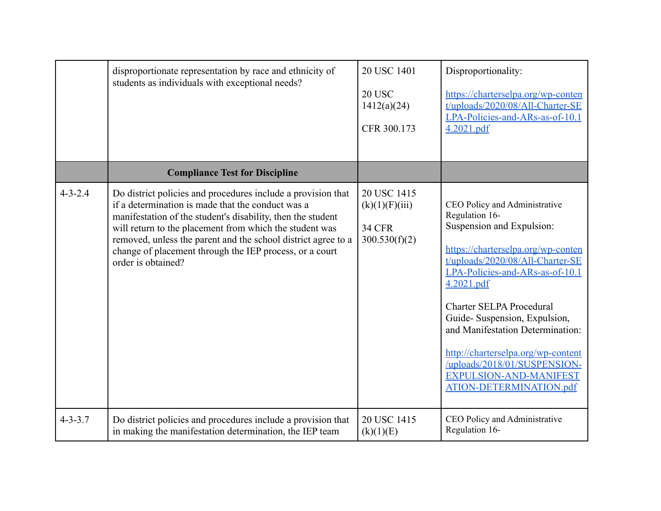|               | disproportionate representation by race and ethnicity of<br>students as individuals with exceptional needs?                                                                                                                                                                                                                                                                                   | 20 USC 1401<br><b>20 USC</b><br>1412(a)(24)<br>CFR 300.173      | Disproportionality:<br>https://charterselpa.org/wp-conten<br>t/uploads/2020/08/All-Charter-SE<br>LPA-Policies-and-ARs-as-of-10.1<br>4.2021.pdf                                                                                                                                                                                                                                                                                            |
|---------------|-----------------------------------------------------------------------------------------------------------------------------------------------------------------------------------------------------------------------------------------------------------------------------------------------------------------------------------------------------------------------------------------------|-----------------------------------------------------------------|-------------------------------------------------------------------------------------------------------------------------------------------------------------------------------------------------------------------------------------------------------------------------------------------------------------------------------------------------------------------------------------------------------------------------------------------|
|               | <b>Compliance Test for Discipline</b>                                                                                                                                                                                                                                                                                                                                                         |                                                                 |                                                                                                                                                                                                                                                                                                                                                                                                                                           |
| $4 - 3 - 2.4$ | Do district policies and procedures include a provision that<br>if a determination is made that the conduct was a<br>manifestation of the student's disability, then the student<br>will return to the placement from which the student was<br>removed, unless the parent and the school district agree to a<br>change of placement through the IEP process, or a court<br>order is obtained? | 20 USC 1415<br>(k)(1)(F)(iii)<br><b>34 CFR</b><br>300.530(f)(2) | CEO Policy and Administrative<br>Regulation 16-<br>Suspension and Expulsion:<br>https://charterselpa.org/wp-conten<br>t/uploads/2020/08/All-Charter-SE<br>LPA-Policies-and-ARs-as-of-10.1<br>4.2021.pdf<br><b>Charter SELPA Procedural</b><br>Guide-Suspension, Expulsion,<br>and Manifestation Determination:<br>http://charterselpa.org/wp-content<br>/uploads/2018/01/SUSPENSION-<br>EXPULSION-AND-MANIFEST<br>ATION-DETERMINATION.pdf |
| $4 - 3 - 3.7$ | Do district policies and procedures include a provision that<br>in making the manifestation determination, the IEP team                                                                                                                                                                                                                                                                       | 20 USC 1415<br>(k)(1)(E)                                        | CEO Policy and Administrative<br>Regulation 16-                                                                                                                                                                                                                                                                                                                                                                                           |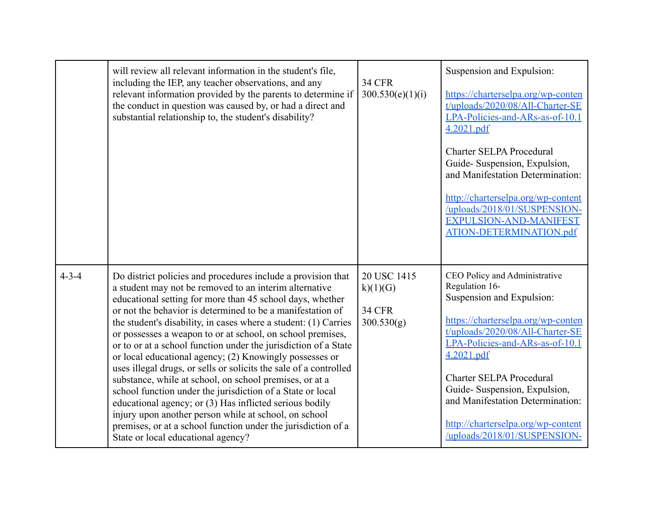|             | will review all relevant information in the student's file,<br>including the IEP, any teacher observations, and any<br>relevant information provided by the parents to determine if<br>the conduct in question was caused by, or had a direct and<br>substantial relationship to, the student's disability?                                                                                                                                                                                                                                                                                                                                                                                                                                                                                                                                                                                                                               | <b>34 CFR</b><br>300.530(e)(1)(i)                      | Suspension and Expulsion:<br>https://charterselpa.org/wp-conten<br>t/uploads/2020/08/All-Charter-SE<br>LPA-Policies-and-ARs-as-of-10.1<br>4.2021.pdf<br><b>Charter SELPA Procedural</b><br>Guide-Suspension, Expulsion,<br>and Manifestation Determination:<br>http://charterselpa.org/wp-content<br>/uploads/2018/01/SUSPENSION-<br>EXPULSION-AND-MANIFEST<br>ATION-DETERMINATION.pdf |
|-------------|-------------------------------------------------------------------------------------------------------------------------------------------------------------------------------------------------------------------------------------------------------------------------------------------------------------------------------------------------------------------------------------------------------------------------------------------------------------------------------------------------------------------------------------------------------------------------------------------------------------------------------------------------------------------------------------------------------------------------------------------------------------------------------------------------------------------------------------------------------------------------------------------------------------------------------------------|--------------------------------------------------------|----------------------------------------------------------------------------------------------------------------------------------------------------------------------------------------------------------------------------------------------------------------------------------------------------------------------------------------------------------------------------------------|
| $4 - 3 - 4$ | Do district policies and procedures include a provision that<br>a student may not be removed to an interim alternative<br>educational setting for more than 45 school days, whether<br>or not the behavior is determined to be a manifestation of<br>the student's disability, in cases where a student: (1) Carries<br>or possesses a weapon to or at school, on school premises,<br>or to or at a school function under the jurisdiction of a State<br>or local educational agency; (2) Knowingly possesses or<br>uses illegal drugs, or sells or solicits the sale of a controlled<br>substance, while at school, on school premises, or at a<br>school function under the jurisdiction of a State or local<br>educational agency; or (3) Has inflicted serious bodily<br>injury upon another person while at school, on school<br>premises, or at a school function under the jurisdiction of a<br>State or local educational agency? | 20 USC 1415<br>k)(1)(G)<br><b>34 CFR</b><br>300.530(g) | CEO Policy and Administrative<br>Regulation 16-<br>Suspension and Expulsion:<br>https://charterselpa.org/wp-conten<br>t/uploads/2020/08/All-Charter-SE<br>LPA-Policies-and-ARs-as-of-10.1<br>4.2021.pdf<br><b>Charter SELPA Procedural</b><br>Guide-Suspension, Expulsion,<br>and Manifestation Determination:<br>http://charterselpa.org/wp-content<br>/uploads/2018/01/SUSPENSION-   |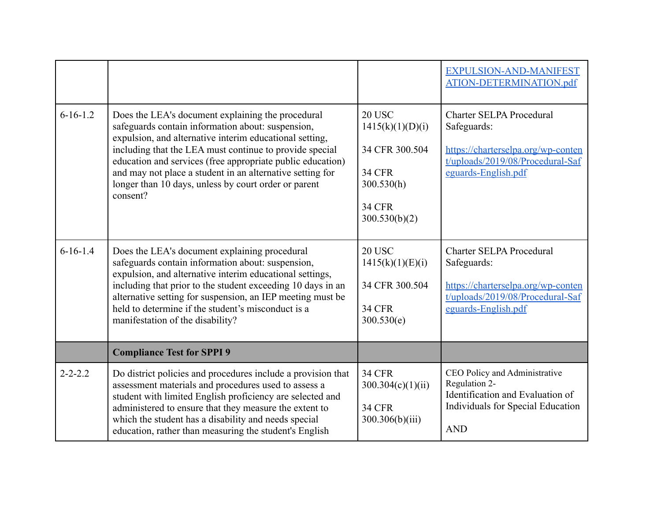|                |                                                                                                                                                                                                                                                                                                                                                                                                                             |                                                                                                                      | EXPULSION-AND-MANIFEST<br>ATION-DETERMINATION.pdf                                                                                               |
|----------------|-----------------------------------------------------------------------------------------------------------------------------------------------------------------------------------------------------------------------------------------------------------------------------------------------------------------------------------------------------------------------------------------------------------------------------|----------------------------------------------------------------------------------------------------------------------|-------------------------------------------------------------------------------------------------------------------------------------------------|
| $6 - 16 - 1.2$ | Does the LEA's document explaining the procedural<br>safeguards contain information about: suspension,<br>expulsion, and alternative interim educational setting,<br>including that the LEA must continue to provide special<br>education and services (free appropriate public education)<br>and may not place a student in an alternative setting for<br>longer than 10 days, unless by court order or parent<br>consent? | <b>20 USC</b><br>1415(k)(1)(D)(i)<br>34 CFR 300.504<br><b>34 CFR</b><br>300.530(h)<br><b>34 CFR</b><br>300.530(b)(2) | <b>Charter SELPA Procedural</b><br>Safeguards:<br>https://charterselpa.org/wp-conten<br>t/uploads/2019/08/Procedural-Saf<br>eguards-English.pdf |
| $6-16-1.4$     | Does the LEA's document explaining procedural<br>safeguards contain information about: suspension,<br>expulsion, and alternative interim educational settings,<br>including that prior to the student exceeding 10 days in an<br>alternative setting for suspension, an IEP meeting must be<br>held to determine if the student's misconduct is a<br>manifestation of the disability?                                       | <b>20 USC</b><br>1415(k)(1)(E)(i)<br>34 CFR 300.504<br><b>34 CFR</b><br>300.530(e)                                   | <b>Charter SELPA Procedural</b><br>Safeguards:<br>https://charterselpa.org/wp-conten<br>t/uploads/2019/08/Procedural-Saf<br>eguards-English.pdf |
|                | <b>Compliance Test for SPPI 9</b>                                                                                                                                                                                                                                                                                                                                                                                           |                                                                                                                      |                                                                                                                                                 |
| $2 - 2 - 2.2$  | Do district policies and procedures include a provision that<br>assessment materials and procedures used to assess a<br>student with limited English proficiency are selected and<br>administered to ensure that they measure the extent to<br>which the student has a disability and needs special<br>education, rather than measuring the student's English                                                               | <b>34 CFR</b><br>300.304(c)(1)(ii)<br><b>34 CFR</b><br>300.306(b)(iii)                                               | CEO Policy and Administrative<br>Regulation 2-<br>Identification and Evaluation of<br>Individuals for Special Education<br><b>AND</b>           |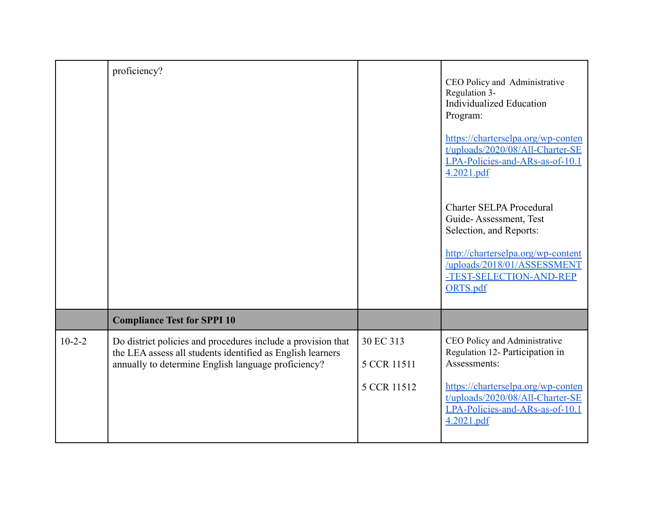|          | proficiency?                                                                                                                                                                      |                          | CEO Policy and Administrative<br>Regulation 3-<br><b>Individualized Education</b><br>Program:<br>https://charterselpa.org/wp-conten<br>t/uploads/2020/08/All-Charter-SE<br>LPA-Policies-and-ARs-as-of-10.1<br>4.2021.pdf |
|----------|-----------------------------------------------------------------------------------------------------------------------------------------------------------------------------------|--------------------------|--------------------------------------------------------------------------------------------------------------------------------------------------------------------------------------------------------------------------|
|          |                                                                                                                                                                                   |                          | <b>Charter SELPA Procedural</b><br>Guide-Assessment, Test<br>Selection, and Reports:                                                                                                                                     |
|          |                                                                                                                                                                                   |                          | http://charterselpa.org/wp-content<br>/uploads/2018/01/ASSESSMENT<br>-TEST-SELECTION-AND-REP<br>ORTS.pdf                                                                                                                 |
|          | <b>Compliance Test for SPPI 10</b>                                                                                                                                                |                          |                                                                                                                                                                                                                          |
| $10-2-2$ | Do district policies and procedures include a provision that<br>the LEA assess all students identified as English learners<br>annually to determine English language proficiency? | 30 EC 313<br>5 CCR 11511 | CEO Policy and Administrative<br>Regulation 12- Participation in<br>Assessments:                                                                                                                                         |
|          |                                                                                                                                                                                   | 5 CCR 11512              | https://charterselpa.org/wp-conten<br>t/uploads/2020/08/All-Charter-SE<br>LPA-Policies-and-ARs-as-of-10.1<br>4.2021.pdf                                                                                                  |